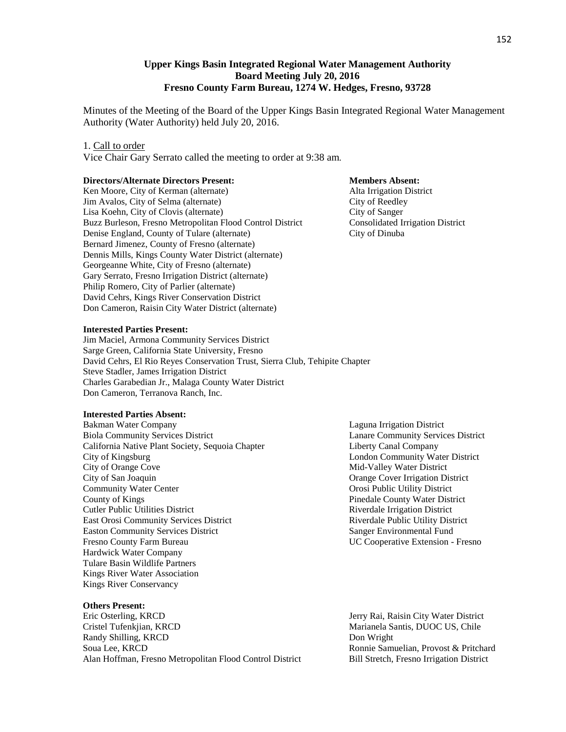# **Upper Kings Basin Integrated Regional Water Management Authority Board Meeting July 20, 2016 Fresno County Farm Bureau, 1274 W. Hedges, Fresno, 93728**

Minutes of the Meeting of the Board of the Upper Kings Basin Integrated Regional Water Management Authority (Water Authority) held July 20, 2016.

#### 1. Call to order

Vice Chair Gary Serrato called the meeting to order at 9:38 am.

#### **Directors/Alternate Directors Present: Members Absent: Members Absent:**

Ken Moore, City of Kerman (alternate) Alta Irrigation District Jim Avalos, City of Selma (alternate) City of Reedley Lisa Koehn, City of Clovis (alternate)<br>
Buzz Burleson, Fresno Metropolitan Flood Control District Consolidated Irrigation District Buzz Burleson, Fresno Metropolitan Flood Control District Denise England, County of Tulare (alternate) City of Dinuba Bernard Jimenez, County of Fresno (alternate) Dennis Mills, Kings County Water District (alternate) Georgeanne White, City of Fresno (alternate) Gary Serrato, Fresno Irrigation District (alternate) Philip Romero, City of Parlier (alternate) David Cehrs, Kings River Conservation District Don Cameron, Raisin City Water District (alternate)

#### **Interested Parties Present:**

Jim Maciel, Armona Community Services District Sarge Green, California State University, Fresno David Cehrs, El Rio Reyes Conservation Trust, Sierra Club, Tehipite Chapter Steve Stadler, James Irrigation District Charles Garabedian Jr., Malaga County Water District Don Cameron, Terranova Ranch, Inc.

#### **Interested Parties Absent:**

Bakman Water Company Laguna Irrigation District Biola Community Services District Lanare Community Services District California Native Plant Society, Sequoia Chapter Liberty Canal Company City of Kingsburg London Community Water District City of Orange Cove Mid-Valley Water District City of San Joaquin Orange Cover Irrigation District **Community Water Center Center Community Water Center Center Center Center Center Center Center Center Center** County of Kings Pinedale County Water District Cutler Public Utilities District Riverdale Irrigation District East Orosi Community Services District **Riverdale Public Utility District** Riverdale Public Utility District Easton Community Services District Sanger Environmental Fund Fresno County Farm Bureau UC Cooperative Extension - Fresno Hardwick Water Company Tulare Basin Wildlife Partners Kings River Water Association Kings River Conservancy

#### **Others Present:**

Eric Osterling, KRCD Jerry Rai, Raisin City Water District Cristel Tufenkjian, KRCD Marianela Santis, DUOC US, Chile Randy Shilling, KRCD Don Wright Soua Lee, KRCD Ronnie Samuelian, Provost & Pritchard Alan Hoffman, Fresno Metropolitan Flood Control District Bill Stretch, Fresno Irrigation District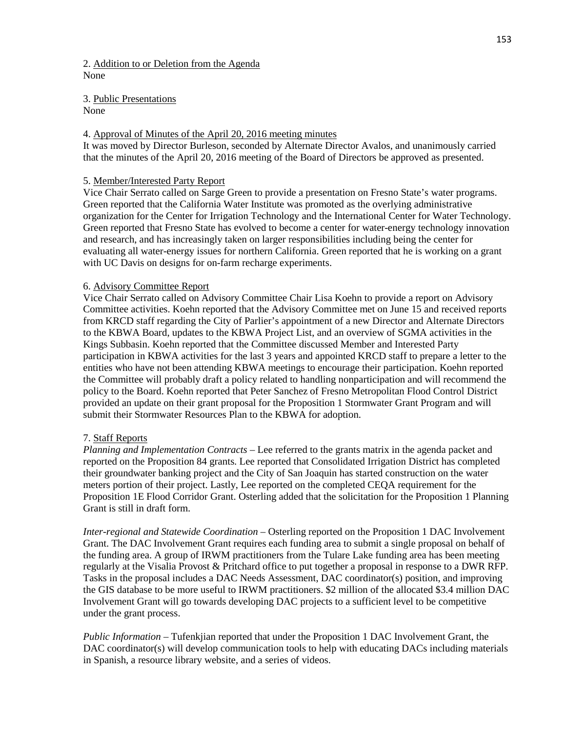# 2. Addition to or Deletion from the Agenda None

3. Public Presentations None

#### 4. Approval of Minutes of the April 20, 2016 meeting minutes

It was moved by Director Burleson, seconded by Alternate Director Avalos, and unanimously carried that the minutes of the April 20, 2016 meeting of the Board of Directors be approved as presented.

# 5. Member/Interested Party Report

Vice Chair Serrato called on Sarge Green to provide a presentation on Fresno State's water programs. Green reported that the California Water Institute was promoted as the overlying administrative organization for the Center for Irrigation Technology and the International Center for Water Technology. Green reported that Fresno State has evolved to become a center for water-energy technology innovation and research, and has increasingly taken on larger responsibilities including being the center for evaluating all water-energy issues for northern California. Green reported that he is working on a grant with UC Davis on designs for on-farm recharge experiments.

# 6. Advisory Committee Report

Vice Chair Serrato called on Advisory Committee Chair Lisa Koehn to provide a report on Advisory Committee activities. Koehn reported that the Advisory Committee met on June 15 and received reports from KRCD staff regarding the City of Parlier's appointment of a new Director and Alternate Directors to the KBWA Board, updates to the KBWA Project List, and an overview of SGMA activities in the Kings Subbasin. Koehn reported that the Committee discussed Member and Interested Party participation in KBWA activities for the last 3 years and appointed KRCD staff to prepare a letter to the entities who have not been attending KBWA meetings to encourage their participation. Koehn reported the Committee will probably draft a policy related to handling nonparticipation and will recommend the policy to the Board. Koehn reported that Peter Sanchez of Fresno Metropolitan Flood Control District provided an update on their grant proposal for the Proposition 1 Stormwater Grant Program and will submit their Stormwater Resources Plan to the KBWA for adoption.

#### 7. Staff Reports

*Planning and Implementation Contracts* – Lee referred to the grants matrix in the agenda packet and reported on the Proposition 84 grants. Lee reported that Consolidated Irrigation District has completed their groundwater banking project and the City of San Joaquin has started construction on the water meters portion of their project. Lastly, Lee reported on the completed CEQA requirement for the Proposition 1E Flood Corridor Grant. Osterling added that the solicitation for the Proposition 1 Planning Grant is still in draft form.

*Inter-regional and Statewide Coordination* – Osterling reported on the Proposition 1 DAC Involvement Grant. The DAC Involvement Grant requires each funding area to submit a single proposal on behalf of the funding area. A group of IRWM practitioners from the Tulare Lake funding area has been meeting regularly at the Visalia Provost & Pritchard office to put together a proposal in response to a DWR RFP. Tasks in the proposal includes a DAC Needs Assessment, DAC coordinator(s) position, and improving the GIS database to be more useful to IRWM practitioners. \$2 million of the allocated \$3.4 million DAC Involvement Grant will go towards developing DAC projects to a sufficient level to be competitive under the grant process.

*Public Information* – Tufenkjian reported that under the Proposition 1 DAC Involvement Grant, the DAC coordinator(s) will develop communication tools to help with educating DACs including materials in Spanish, a resource library website, and a series of videos.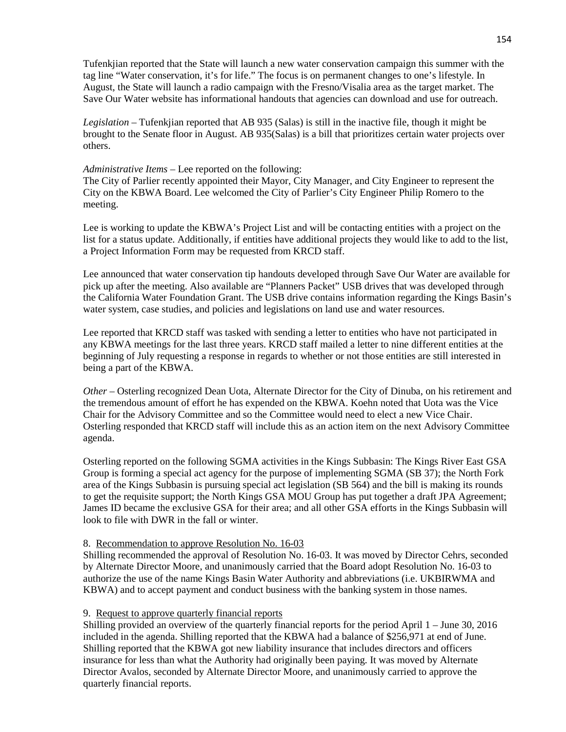Tufenkjian reported that the State will launch a new water conservation campaign this summer with the tag line "Water conservation, it's for life." The focus is on permanent changes to one's lifestyle. In August, the State will launch a radio campaign with the Fresno/Visalia area as the target market. The Save Our Water website has informational handouts that agencies can download and use for outreach.

*Legislation* – Tufenkjian reported that AB 935 (Salas) is still in the inactive file, though it might be brought to the Senate floor in August. AB 935(Salas) is a bill that prioritizes certain water projects over others.

# *Administrative Items* – Lee reported on the following:

The City of Parlier recently appointed their Mayor, City Manager, and City Engineer to represent the City on the KBWA Board. Lee welcomed the City of Parlier's City Engineer Philip Romero to the meeting.

Lee is working to update the KBWA's Project List and will be contacting entities with a project on the list for a status update. Additionally, if entities have additional projects they would like to add to the list, a Project Information Form may be requested from KRCD staff.

Lee announced that water conservation tip handouts developed through Save Our Water are available for pick up after the meeting. Also available are "Planners Packet" USB drives that was developed through the California Water Foundation Grant. The USB drive contains information regarding the Kings Basin's water system, case studies, and policies and legislations on land use and water resources.

Lee reported that KRCD staff was tasked with sending a letter to entities who have not participated in any KBWA meetings for the last three years. KRCD staff mailed a letter to nine different entities at the beginning of July requesting a response in regards to whether or not those entities are still interested in being a part of the KBWA.

*Other* – Osterling recognized Dean Uota, Alternate Director for the City of Dinuba, on his retirement and the tremendous amount of effort he has expended on the KBWA. Koehn noted that Uota was the Vice Chair for the Advisory Committee and so the Committee would need to elect a new Vice Chair. Osterling responded that KRCD staff will include this as an action item on the next Advisory Committee agenda.

Osterling reported on the following SGMA activities in the Kings Subbasin: The Kings River East GSA Group is forming a special act agency for the purpose of implementing SGMA (SB 37); the North Fork area of the Kings Subbasin is pursuing special act legislation (SB 564) and the bill is making its rounds to get the requisite support; the North Kings GSA MOU Group has put together a draft JPA Agreement; James ID became the exclusive GSA for their area; and all other GSA efforts in the Kings Subbasin will look to file with DWR in the fall or winter.

# 8. Recommendation to approve Resolution No. 16-03

Shilling recommended the approval of Resolution No. 16-03. It was moved by Director Cehrs, seconded by Alternate Director Moore, and unanimously carried that the Board adopt Resolution No. 16-03 to authorize the use of the name Kings Basin Water Authority and abbreviations (i.e. UKBIRWMA and KBWA) and to accept payment and conduct business with the banking system in those names.

# 9. Request to approve quarterly financial reports

Shilling provided an overview of the quarterly financial reports for the period April 1 – June 30, 2016 included in the agenda. Shilling reported that the KBWA had a balance of \$256,971 at end of June. Shilling reported that the KBWA got new liability insurance that includes directors and officers insurance for less than what the Authority had originally been paying. It was moved by Alternate Director Avalos, seconded by Alternate Director Moore, and unanimously carried to approve the quarterly financial reports.